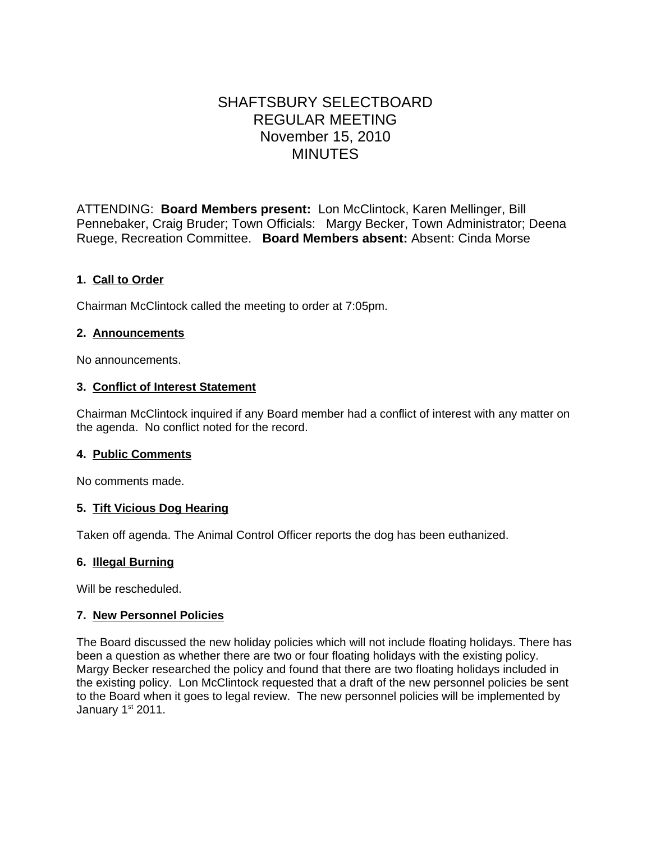# SHAFTSBURY SELECTBOARD REGULAR MEETING November 15, 2010 MINUTES

ATTENDING: **Board Members present:** Lon McClintock, Karen Mellinger, Bill Pennebaker, Craig Bruder; Town Officials: Margy Becker, Town Administrator; Deena Ruege, Recreation Committee. **Board Members absent:** Absent: Cinda Morse

# **1. Call to Order**

Chairman McClintock called the meeting to order at 7:05pm.

# **2. Announcements**

No announcements.

# **3. Conflict of Interest Statement**

Chairman McClintock inquired if any Board member had a conflict of interest with any matter on the agenda. No conflict noted for the record.

#### **4. Public Comments**

No comments made.

# **5. Tift Vicious Dog Hearing**

Taken off agenda. The Animal Control Officer reports the dog has been euthanized.

#### **6. Illegal Burning**

Will be rescheduled.

#### **7. New Personnel Policies**

The Board discussed the new holiday policies which will not include floating holidays. There has been a question as whether there are two or four floating holidays with the existing policy. Margy Becker researched the policy and found that there are two floating holidays included in the existing policy. Lon McClintock requested that a draft of the new personnel policies be sent to the Board when it goes to legal review. The new personnel policies will be implemented by January 1st 2011.